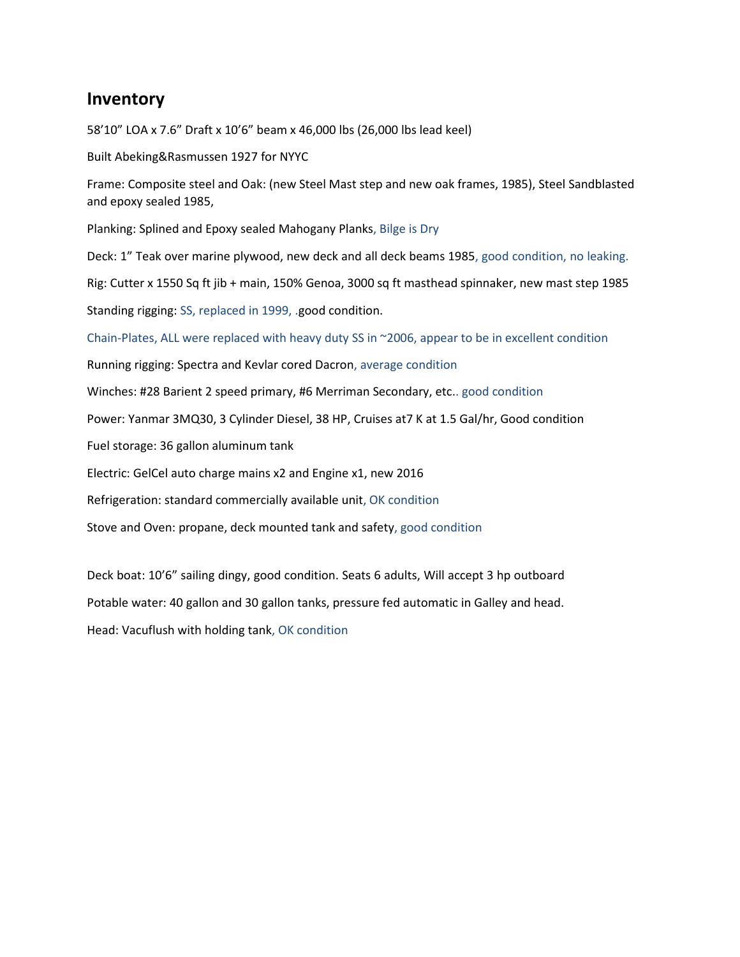## **Inventory**

58'10" LOA x 7.6" Draft x 10'6" beam x 46,000 lbs (26,000 lbs lead keel)

Built Abeking&Rasmussen 1927 for NYYC

Frame: Composite steel and Oak: (new Steel Mast step and new oak frames, 1985), Steel Sandblasted and epoxy sealed 1985,

Planking: Splined and Epoxy sealed Mahogany Planks, Bilge is Dry

Deck: 1" Teak over marine plywood, new deck and all deck beams 1985, good condition, no leaking.

Rig: Cutter x 1550 Sq ft jib + main, 150% Genoa, 3000 sq ft masthead spinnaker, new mast step 1985

Standing rigging: SS, replaced in 1999, .good condition.

Chain-Plates, ALL were replaced with heavy duty SS in ~2006, appear to be in excellent condition

Running rigging: Spectra and Kevlar cored Dacron, average condition

Winches: #28 Barient 2 speed primary, #6 Merriman Secondary, etc.. good condition

Power: Yanmar 3MQ30, 3 Cylinder Diesel, 38 HP, Cruises at7 K at 1.5 Gal/hr, Good condition

Fuel storage: 36 gallon aluminum tank

Electric: GelCel auto charge mains x2 and Engine x1, new 2016

Refrigeration: standard commercially available unit, OK condition

Stove and Oven: propane, deck mounted tank and safety, good condition

Deck boat: 10'6" sailing dingy, good condition. Seats 6 adults, Will accept 3 hp outboard

Potable water: 40 gallon and 30 gallon tanks, pressure fed automatic in Galley and head.

Head: Vacuflush with holding tank, OK condition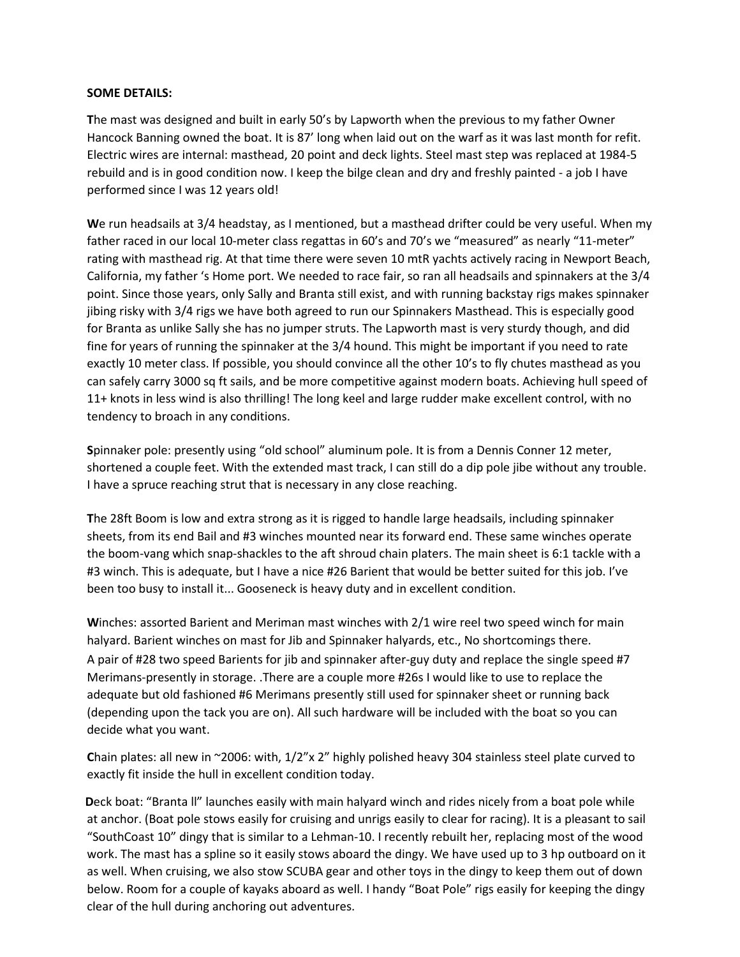## **SOME DETAILS:**

**T**he mast was designed and built in early 50's by Lapworth when the previous to my father Owner Hancock Banning owned the boat. It is 87' long when laid out on the warf as it was last month for refit. Electric wires are internal: masthead, 20 point and deck lights. Steel mast step was replaced at 1984-5 rebuild and is in good condition now. I keep the bilge clean and dry and freshly painted - a job I have performed since I was 12 years old!

**W**e run headsails at 3/4 headstay, as I mentioned, but a masthead drifter could be very useful. When my father raced in our local 10-meter class regattas in 60's and 70's we "measured" as nearly "11-meter" rating with masthead rig. At that time there were seven 10 mtR yachts actively racing in Newport Beach, California, my father 's Home port. We needed to race fair, so ran all headsails and spinnakers at the 3/4 point. Since those years, only Sally and Branta still exist, and with running backstay rigs makes spinnaker jibing risky with 3/4 rigs we have both agreed to run our Spinnakers Masthead. This is especially good for Branta as unlike Sally she has no jumper struts. The Lapworth mast is very sturdy though, and did fine for years of running the spinnaker at the 3/4 hound. This might be important if you need to rate exactly 10 meter class. If possible, you should convince all the other 10's to fly chutes masthead as you can safely carry 3000 sq ft sails, and be more competitive against modern boats. Achieving hull speed of 11+ knots in less wind is also thrilling! The long keel and large rudder make excellent control, with no tendency to broach in any conditions.

**S**pinnaker pole: presently using "old school" aluminum pole. It is from a Dennis Conner 12 meter, shortened a couple feet. With the extended mast track, I can still do a dip pole jibe without any trouble. I have a spruce reaching strut that is necessary in any close reaching.

**T**he 28ft Boom is low and extra strong as it is rigged to handle large headsails, including spinnaker sheets, from its end Bail and #3 winches mounted near its forward end. These same winches operate the boom-vang which snap-shackles to the aft shroud chain platers. The main sheet is 6:1 tackle with a #3 winch. This is adequate, but I have a nice #26 Barient that would be better suited for this job. I've been too busy to install it... Gooseneck is heavy duty and in excellent condition.

**W**inches: assorted Barient and Meriman mast winches with 2/1 wire reel two speed winch for main halyard. Barient winches on mast for Jib and Spinnaker halyards, etc., No shortcomings there. A pair of #28 two speed Barients for jib and spinnaker after-guy duty and replace the single speed #7 Merimans-presently in storage. .There are a couple more #26s I would like to use to replace the adequate but old fashioned #6 Merimans presently still used for spinnaker sheet or running back (depending upon the tack you are on). All such hardware will be included with the boat so you can decide what you want.

**C**hain plates: all new in ~2006: with, 1/2"x 2" highly polished heavy 304 stainless steel plate curved to exactly fit inside the hull in excellent condition today.

**D**eck boat: "Branta ll" launches easily with main halyard winch and rides nicely from a boat pole while at anchor. (Boat pole stows easily for cruising and unrigs easily to clear for racing). It is a pleasant to sail "SouthCoast 10" dingy that is similar to a Lehman-10. I recently rebuilt her, replacing most of the wood work. The mast has a spline so it easily stows aboard the dingy. We have used up to 3 hp outboard on it as well. When cruising, we also stow SCUBA gear and other toys in the dingy to keep them out of down below. Room for a couple of kayaks aboard as well. I handy "Boat Pole" rigs easily for keeping the dingy clear of the hull during anchoring out adventures.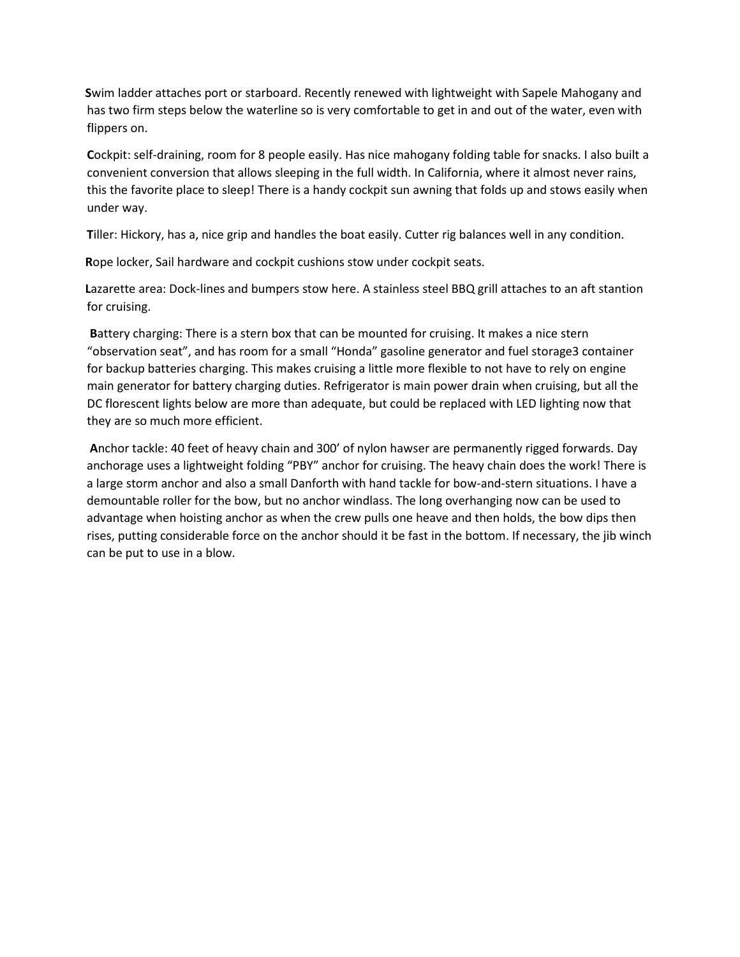**S**wim ladder attaches port or starboard. Recently renewed with lightweight with Sapele Mahogany and has two firm steps below the waterline so is very comfortable to get in and out of the water, even with flippers on.

**C**ockpit: self-draining, room for 8 people easily. Has nice mahogany folding table for snacks. I also built a convenient conversion that allows sleeping in the full width. In California, where it almost never rains, this the favorite place to sleep! There is a handy cockpit sun awning that folds up and stows easily when under way.

**T**iller: Hickory, has a, nice grip and handles the boat easily. Cutter rig balances well in any condition.

**R**ope locker, Sail hardware and cockpit cushions stow under cockpit seats.

**L**azarette area: Dock-lines and bumpers stow here. A stainless steel BBQ grill attaches to an aft stantion for cruising.

**B**attery charging: There is a stern box that can be mounted for cruising. It makes a nice stern "observation seat", and has room for a small "Honda" gasoline generator and fuel storage3 container for backup batteries charging. This makes cruising a little more flexible to not have to rely on engine main generator for battery charging duties. Refrigerator is main power drain when cruising, but all the DC florescent lights below are more than adequate, but could be replaced with LED lighting now that they are so much more efficient.

**A**nchor tackle: 40 feet of heavy chain and 300' of nylon hawser are permanently rigged forwards. Day anchorage uses a lightweight folding "PBY" anchor for cruising. The heavy chain does the work! There is a large storm anchor and also a small Danforth with hand tackle for bow-and-stern situations. I have a demountable roller for the bow, but no anchor windlass. The long overhanging now can be used to advantage when hoisting anchor as when the crew pulls one heave and then holds, the bow dips then rises, putting considerable force on the anchor should it be fast in the bottom. If necessary, the jib winch can be put to use in a blow.